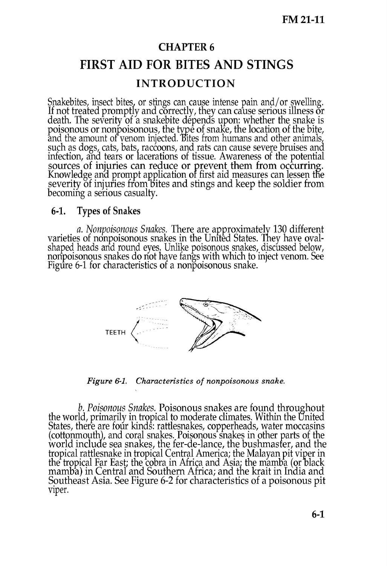## **CHAPTER 6 FIRST AID FOR BITES AND STINGS INTRODUCTION**

Snakebites, insect bites, or stings can cause intense pain and/or swelling. If not treated promptly and correctly, they can cause serious illness or death. The severity of a snakebite depends upon: whether the snake is poisonous or nonpoisonous, the type of snake, the location of the bite, and the amount of venom injected. Bites from humans and other animals such as dogs, cats, bats, raccoons, and rats can cause severe bruises and infection, and tears or lacerations of tissue. Awareness of the potential sources of injuries can reduce or prevent them from occurring. Knowledge and prompt application of first aid measures can lessen the severity of injuries from bites and stings and keep the soldier from becoming a serious casualty.

## 6-1. Types of Snakes

*a. NonpoisonousSnakes.* There are approximateJy 130 different varieties of nonpoisonous snakes in the United States. They have ovalshaped heads and round eyes. Unlike poisonous snakes, discussed below, nonpoisonous snakes do not have fangs with which to inject venom. See Figure 6-1 for characteristics of a nonpoisonous snake.



*Figure* 6-1. *Characteristics of nonpoisonous snake.*

**b.** Poisonous Snakes. Poisonous snakes are found throughout the world, primarily in tropical to moderate climates. Within the Onited States, there are four kinds: rattlesnakes, copperheads, water moccasins (cottonmouth), and coral snakes. Poisonous snakes in other parts of the world include sea snakes, the fer-de-lance, the bushmasfer, and the tropical rattlesnake in tropical Central America; the Malayan pit viper in the tropical Far East; the cobra in Africa and Asia; t<br>mamba) in Central and Southern Africa; and the the tropical Far Bast; the cobra in Africa and Asia; the mamba (or black<br>mamba) in Central and Southern Africa; and the krait in India and Southeast Asia. See Figure 6-2 for characteristics of a poisonous pit viper.